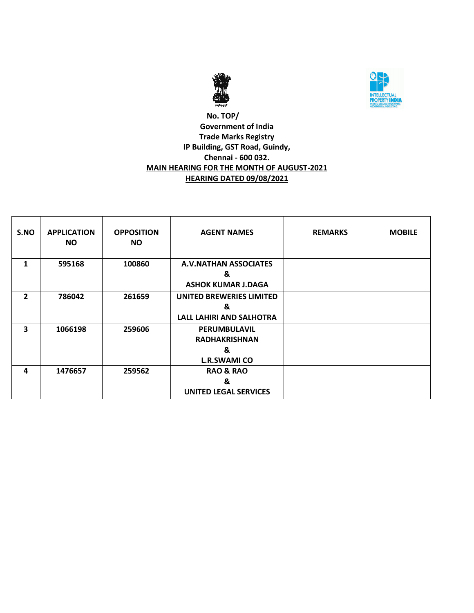



## **No. TOP/ Government of India Trade Marks Registry IP Building, GST Road, Guindy, Chennai - 600 032. MAIN HEARING FOR THE MONTH OF AUGUST-2021 HEARING DATED 09/08/2021**

| S.NO         | <b>APPLICATION</b><br><b>NO</b> | <b>OPPOSITION</b><br><b>NO</b> | <b>AGENT NAMES</b>              | <b>REMARKS</b> | <b>MOBILE</b> |
|--------------|---------------------------------|--------------------------------|---------------------------------|----------------|---------------|
| 1            | 595168                          | 100860                         | <b>A.V.NATHAN ASSOCIATES</b>    |                |               |
|              |                                 |                                | &                               |                |               |
|              |                                 |                                | <b>ASHOK KUMAR J.DAGA</b>       |                |               |
| $\mathbf{2}$ | 786042                          | 261659                         | UNITED BREWERIES LIMITED        |                |               |
|              |                                 |                                | &                               |                |               |
|              |                                 |                                | <b>LALL LAHIRI AND SALHOTRA</b> |                |               |
| 3            | 1066198                         | 259606                         | PERUMBULAVIL                    |                |               |
|              |                                 |                                | <b>RADHAKRISHNAN</b>            |                |               |
|              |                                 |                                | &                               |                |               |
|              |                                 |                                | <b>L.R.SWAMI CO</b>             |                |               |
| 4            | 1476657                         | 259562                         | <b>RAO &amp; RAO</b>            |                |               |
|              |                                 |                                | &                               |                |               |
|              |                                 |                                | <b>UNITED LEGAL SERVICES</b>    |                |               |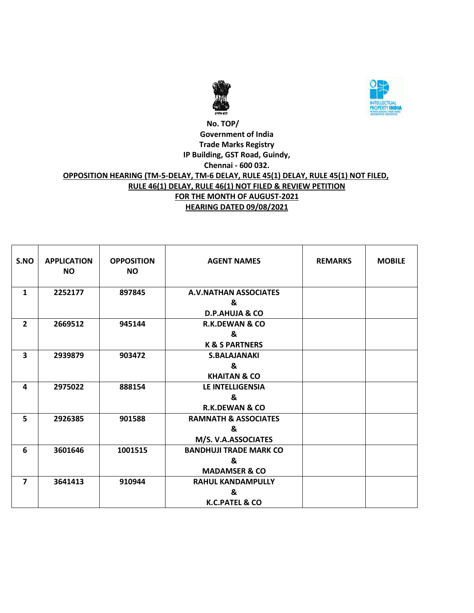



#### **No. TOP/ Government of India Trade Marks Registry IP Building, GST Road, Guindy, Chennai - 600 032. OPPOSITION HEARING (TM-5-DELAY, TM-6 DELAY, RULE 45(1) DELAY, RULE 45(1) NOT FILED, RULE 46(1) DELAY, RULE 46(1) NOT FILED & REVIEW PETITION FOR THE MONTH OF AUGUST-2021 HEARING DATED 09/08/2021**

| S.NO                    | <b>APPLICATION</b><br><b>NO</b> | <b>OPPOSITION</b><br><b>NO</b> | <b>AGENT NAMES</b>              | <b>REMARKS</b> | <b>MOBILE</b> |
|-------------------------|---------------------------------|--------------------------------|---------------------------------|----------------|---------------|
| 1                       | 2252177                         | 897845                         | <b>A.V.NATHAN ASSOCIATES</b>    |                |               |
|                         |                                 |                                | &                               |                |               |
|                         |                                 |                                | <b>D.P.AHUJA &amp; CO</b>       |                |               |
| $\overline{2}$          | 2669512                         | 945144                         | <b>R.K.DEWAN &amp; CO</b>       |                |               |
|                         |                                 |                                | &                               |                |               |
|                         |                                 |                                | <b>K &amp; S PARTNERS</b>       |                |               |
| $\overline{\mathbf{3}}$ | 2939879                         | 903472                         | <b>S.BALAJANAKI</b>             |                |               |
|                         |                                 |                                | &                               |                |               |
|                         |                                 |                                | <b>KHAITAN &amp; CO</b>         |                |               |
| 4                       | 2975022                         | 888154                         | <b>LE INTELLIGENSIA</b>         |                |               |
|                         |                                 |                                | &                               |                |               |
|                         |                                 |                                | <b>R.K.DEWAN &amp; CO</b>       |                |               |
| 5                       | 2926385                         | 901588                         | <b>RAMNATH &amp; ASSOCIATES</b> |                |               |
|                         |                                 |                                | &                               |                |               |
|                         |                                 |                                | M/S. V.A.ASSOCIATES             |                |               |
| 6                       | 3601646                         | 1001515                        | <b>BANDHUJI TRADE MARK CO</b>   |                |               |
|                         |                                 |                                | &                               |                |               |
|                         |                                 |                                | <b>MADAMSER &amp; CO</b>        |                |               |
| $\overline{7}$          | 3641413                         | 910944                         | <b>RAHUL KANDAMPULLY</b>        |                |               |
|                         |                                 |                                | &                               |                |               |
|                         |                                 |                                | K.C.PATEL & CO                  |                |               |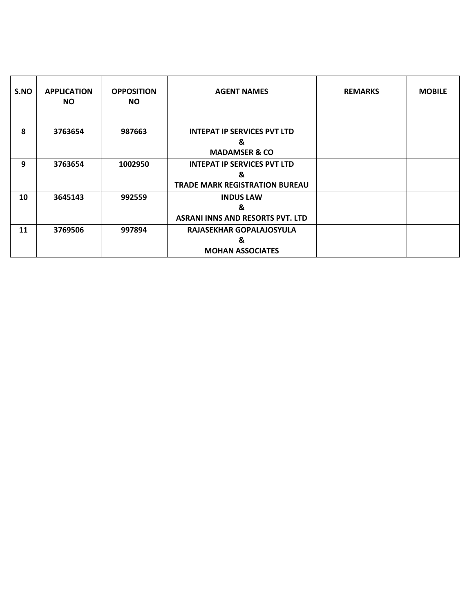| S.NO | <b>APPLICATION</b><br>NO. | <b>OPPOSITION</b><br><b>NO</b> | <b>AGENT NAMES</b>                      | <b>REMARKS</b> | <b>MOBILE</b> |
|------|---------------------------|--------------------------------|-----------------------------------------|----------------|---------------|
| 8    | 3763654                   | 987663                         | <b>INTEPAT IP SERVICES PVT LTD</b>      |                |               |
|      |                           |                                | &                                       |                |               |
|      |                           |                                | <b>MADAMSER &amp; CO</b>                |                |               |
| 9    | 3763654                   | 1002950                        | <b>INTEPAT IP SERVICES PVT LTD</b>      |                |               |
|      |                           |                                | &                                       |                |               |
|      |                           |                                | <b>TRADE MARK REGISTRATION BUREAU</b>   |                |               |
| 10   | 3645143                   | 992559                         | <b>INDUS LAW</b>                        |                |               |
|      |                           |                                | &                                       |                |               |
|      |                           |                                | <b>ASRANI INNS AND RESORTS PVT. LTD</b> |                |               |
| 11   | 3769506                   | 997894                         | RAJASEKHAR GOPALAJOSYULA                |                |               |
|      |                           |                                | &                                       |                |               |
|      |                           |                                | <b>MOHAN ASSOCIATES</b>                 |                |               |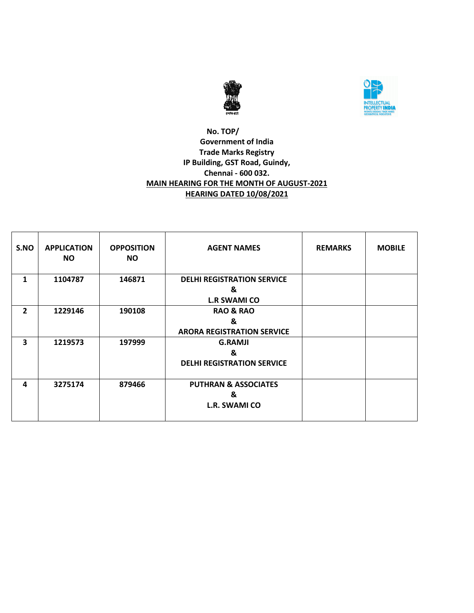



## **No. TOP/ Government of India Trade Marks Registry IP Building, GST Road, Guindy, Chennai - 600 032. MAIN HEARING FOR THE MONTH OF AUGUST-2021 HEARING DATED 10/08/2021**

| S.NO           | <b>APPLICATION</b><br><b>NO</b> | <b>OPPOSITION</b><br><b>NO</b> | <b>AGENT NAMES</b>                | <b>REMARKS</b> | <b>MOBILE</b> |
|----------------|---------------------------------|--------------------------------|-----------------------------------|----------------|---------------|
| 1              | 1104787                         | 146871                         | <b>DELHI REGISTRATION SERVICE</b> |                |               |
|                |                                 |                                | &                                 |                |               |
|                |                                 |                                | <b>L.R SWAMI CO</b>               |                |               |
| $\overline{2}$ | 1229146                         | 190108                         | <b>RAO &amp; RAO</b>              |                |               |
|                |                                 |                                | &                                 |                |               |
|                |                                 |                                | <b>ARORA REGISTRATION SERVICE</b> |                |               |
| 3              | 1219573                         | 197999                         | <b>G.RAMJI</b>                    |                |               |
|                |                                 |                                | &                                 |                |               |
|                |                                 |                                | <b>DELHI REGISTRATION SERVICE</b> |                |               |
|                |                                 |                                |                                   |                |               |
| 4              | 3275174                         | 879466                         | <b>PUTHRAN &amp; ASSOCIATES</b>   |                |               |
|                |                                 |                                | &                                 |                |               |
|                |                                 |                                | <b>L.R. SWAMI CO</b>              |                |               |
|                |                                 |                                |                                   |                |               |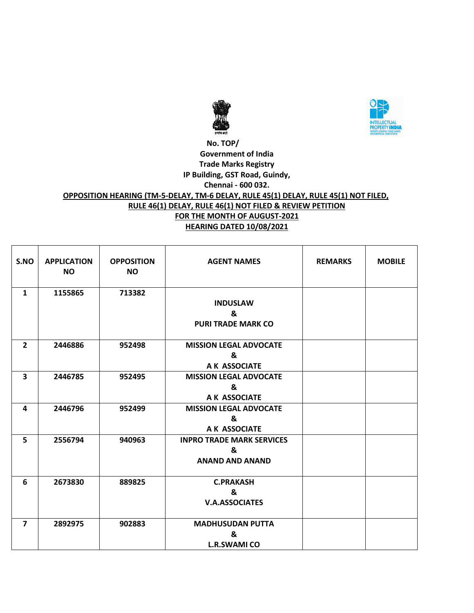



#### **No. TOP/ Government of India Trade Marks Registry IP Building, GST Road, Guindy, Chennai - 600 032. OPPOSITION HEARING (TM-5-DELAY, TM-6 DELAY, RULE 45(1) DELAY, RULE 45(1) NOT FILED, RULE 46(1) DELAY, RULE 46(1) NOT FILED & REVIEW PETITION FOR THE MONTH OF AUGUST-2021 HEARING DATED 10/08/2021**

| S.NO                    | <b>APPLICATION</b><br><b>NO</b> | <b>OPPOSITION</b><br><b>NO</b> | <b>AGENT NAMES</b>                                              | <b>REMARKS</b> | <b>MOBILE</b> |
|-------------------------|---------------------------------|--------------------------------|-----------------------------------------------------------------|----------------|---------------|
| $\mathbf{1}$            | 1155865                         | 713382                         | <b>INDUSLAW</b><br>&<br><b>PURI TRADE MARK CO</b>               |                |               |
| $\overline{2}$          | 2446886                         | 952498                         | <b>MISSION LEGAL ADVOCATE</b><br>&<br>A K ASSOCIATE             |                |               |
| 3                       | 2446785                         | 952495                         | <b>MISSION LEGAL ADVOCATE</b><br>&<br>A K ASSOCIATE             |                |               |
| 4                       | 2446796                         | 952499                         | <b>MISSION LEGAL ADVOCATE</b><br>&<br>A K ASSOCIATE             |                |               |
| 5                       | 2556794                         | 940963                         | <b>INPRO TRADE MARK SERVICES</b><br>&<br><b>ANAND AND ANAND</b> |                |               |
| 6                       | 2673830                         | 889825                         | <b>C.PRAKASH</b><br>&<br><b>V.A.ASSOCIATES</b>                  |                |               |
| $\overline{\mathbf{z}}$ | 2892975                         | 902883                         | <b>MADHUSUDAN PUTTA</b><br>&<br><b>L.R.SWAMI CO</b>             |                |               |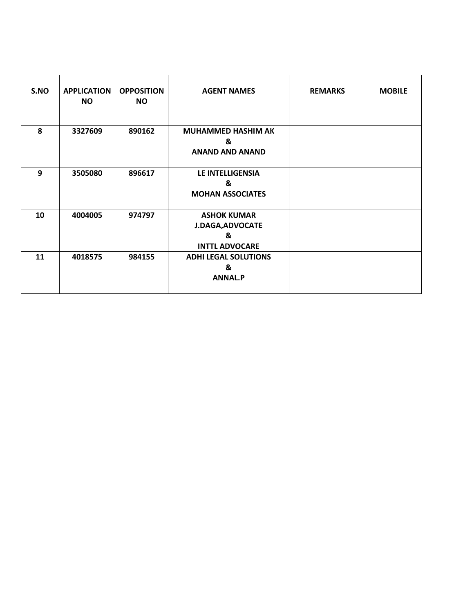| S.NO | <b>APPLICATION</b><br><b>NO</b> | <b>OPPOSITION</b><br><b>NO</b> | <b>AGENT NAMES</b>                                                          | <b>REMARKS</b> | <b>MOBILE</b> |
|------|---------------------------------|--------------------------------|-----------------------------------------------------------------------------|----------------|---------------|
| 8    | 3327609                         | 890162                         | <b>MUHAMMED HASHIM AK</b><br>&<br><b>ANAND AND ANAND</b>                    |                |               |
| 9    | 3505080                         | 896617                         | LE INTELLIGENSIA<br>&<br><b>MOHAN ASSOCIATES</b>                            |                |               |
| 10   | 4004005                         | 974797                         | <b>ASHOK KUMAR</b><br><b>J.DAGA, ADVOCATE</b><br>&<br><b>INTTL ADVOCARE</b> |                |               |
| 11   | 4018575                         | 984155                         | <b>ADHI LEGAL SOLUTIONS</b><br>&<br><b>ANNAL.P</b>                          |                |               |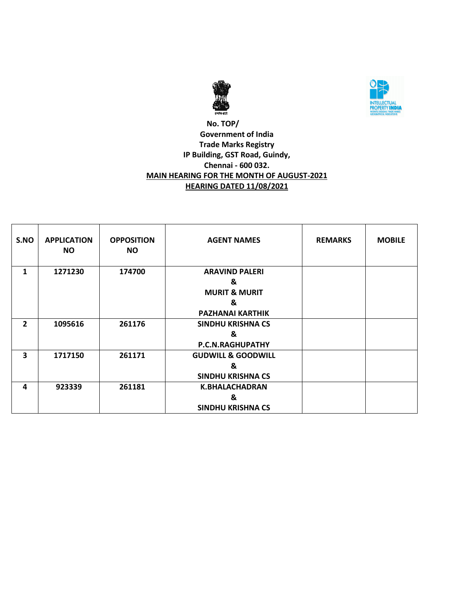



## **No. TOP/ Government of India Trade Marks Registry IP Building, GST Road, Guindy, Chennai - 600 032. MAIN HEARING FOR THE MONTH OF AUGUST-2021 HEARING DATED 11/08/2021**

| S.NO | <b>APPLICATION</b><br><b>NO</b> | <b>OPPOSITION</b><br><b>NO</b> | <b>AGENT NAMES</b>            | <b>REMARKS</b> | <b>MOBILE</b> |
|------|---------------------------------|--------------------------------|-------------------------------|----------------|---------------|
| 1    | 1271230                         | 174700                         | <b>ARAVIND PALERI</b>         |                |               |
|      |                                 |                                | &                             |                |               |
|      |                                 |                                | <b>MURIT &amp; MURIT</b>      |                |               |
|      |                                 |                                | &                             |                |               |
|      |                                 |                                | <b>PAZHANAI KARTHIK</b>       |                |               |
| 2    | 1095616                         | 261176                         | <b>SINDHU KRISHNA CS</b>      |                |               |
|      |                                 |                                | &                             |                |               |
|      |                                 |                                | P.C.N.RAGHUPATHY              |                |               |
| 3    | 1717150                         | 261171                         | <b>GUDWILL &amp; GOODWILL</b> |                |               |
|      |                                 |                                | &                             |                |               |
|      |                                 |                                | <b>SINDHU KRISHNA CS</b>      |                |               |
| 4    | 923339                          | 261181                         | <b>K.BHALACHADRAN</b>         |                |               |
|      |                                 |                                | &                             |                |               |
|      |                                 |                                | <b>SINDHU KRISHNA CS</b>      |                |               |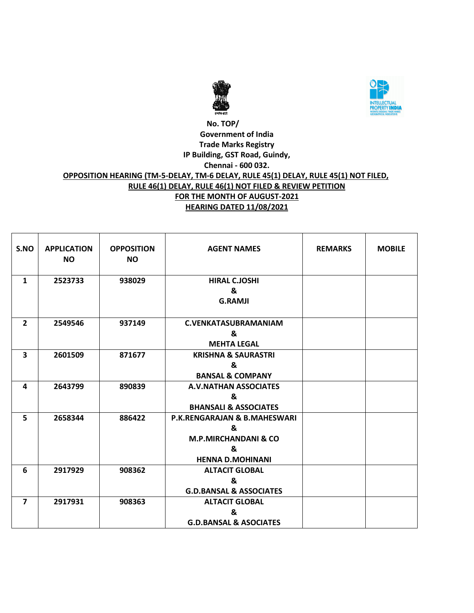



#### **No. TOP/ Government of India Trade Marks Registry IP Building, GST Road, Guindy, Chennai - 600 032. OPPOSITION HEARING (TM-5-DELAY, TM-6 DELAY, RULE 45(1) DELAY, RULE 45(1) NOT FILED, RULE 46(1) DELAY, RULE 46(1) NOT FILED & REVIEW PETITION FOR THE MONTH OF AUGUST-2021 HEARING DATED 11/08/2021**

| S.NO                    | <b>APPLICATION</b><br><b>NO</b> | <b>OPPOSITION</b><br>NO. | <b>AGENT NAMES</b>                                                                                              | <b>REMARKS</b> | <b>MOBILE</b> |
|-------------------------|---------------------------------|--------------------------|-----------------------------------------------------------------------------------------------------------------|----------------|---------------|
| $\mathbf{1}$            | 2523733                         | 938029                   | <b>HIRAL C.JOSHI</b><br>&<br><b>G.RAMJI</b>                                                                     |                |               |
| $\overline{2}$          | 2549546                         | 937149                   | <b>C.VENKATASUBRAMANIAM</b><br>&<br><b>MEHTA LEGAL</b>                                                          |                |               |
| $\overline{\mathbf{3}}$ | 2601509                         | 871677                   | <b>KRISHNA &amp; SAURASTRI</b><br>&<br><b>BANSAL &amp; COMPANY</b>                                              |                |               |
| 4                       | 2643799                         | 890839                   | <b>A.V.NATHAN ASSOCIATES</b><br>&<br><b>BHANSALI &amp; ASSOCIATES</b>                                           |                |               |
| 5                       | 2658344                         | 886422                   | <b>P.K.RENGARAJAN &amp; B.MAHESWARI</b><br>&<br><b>M.P.MIRCHANDANI &amp; CO</b><br>&<br><b>HENNA D.MOHINANI</b> |                |               |
| 6                       | 2917929                         | 908362                   | <b>ALTACIT GLOBAL</b><br>&<br><b>G.D.BANSAL &amp; ASSOCIATES</b>                                                |                |               |
| $\overline{ }$          | 2917931                         | 908363                   | <b>ALTACIT GLOBAL</b><br>&<br><b>G.D.BANSAL &amp; ASOCIATES</b>                                                 |                |               |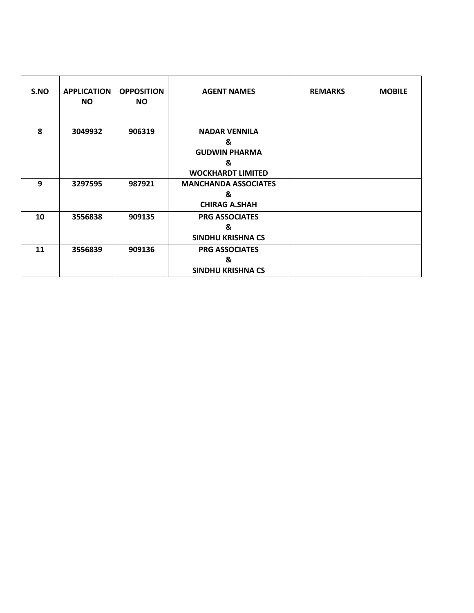| S.NO | <b>APPLICATION</b><br><b>NO</b> | <b>OPPOSITION</b><br><b>NO</b> | <b>AGENT NAMES</b>          | <b>REMARKS</b> | <b>MOBILE</b> |
|------|---------------------------------|--------------------------------|-----------------------------|----------------|---------------|
| 8    | 3049932                         | 906319                         | <b>NADAR VENNILA</b>        |                |               |
|      |                                 |                                | &                           |                |               |
|      |                                 |                                | <b>GUDWIN PHARMA</b>        |                |               |
|      |                                 |                                | &                           |                |               |
|      |                                 |                                | <b>WOCKHARDT LIMITED</b>    |                |               |
| 9    | 3297595                         | 987921                         | <b>MANCHANDA ASSOCIATES</b> |                |               |
|      |                                 |                                | &                           |                |               |
|      |                                 |                                | <b>CHIRAG A.SHAH</b>        |                |               |
| 10   | 3556838                         | 909135                         | <b>PRG ASSOCIATES</b>       |                |               |
|      |                                 |                                | &                           |                |               |
|      |                                 |                                | <b>SINDHU KRISHNA CS</b>    |                |               |
| 11   | 3556839                         | 909136                         | <b>PRG ASSOCIATES</b>       |                |               |
|      |                                 |                                | &                           |                |               |
|      |                                 |                                | <b>SINDHU KRISHNA CS</b>    |                |               |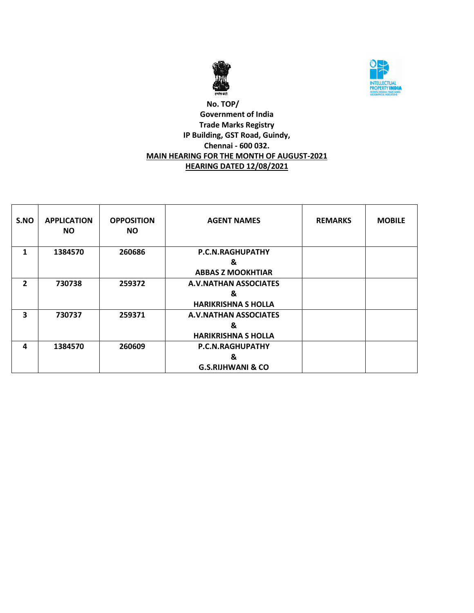



## **No. TOP/ Government of India Trade Marks Registry IP Building, GST Road, Guindy, Chennai - 600 032. MAIN HEARING FOR THE MONTH OF AUGUST-2021 HEARING DATED 12/08/2021**

| S.NO           | <b>APPLICATION</b><br><b>NO</b> | <b>OPPOSITION</b><br>NO. | <b>AGENT NAMES</b>                                              | <b>REMARKS</b> | <b>MOBILE</b> |
|----------------|---------------------------------|--------------------------|-----------------------------------------------------------------|----------------|---------------|
| 1              | 1384570                         | 260686                   | <b>P.C.N.RAGHUPATHY</b><br>&<br><b>ABBAS Z MOOKHTIAR</b>        |                |               |
| $\overline{2}$ | 730738                          | 259372                   | <b>A.V.NATHAN ASSOCIATES</b><br>&<br><b>HARIKRISHNA S HOLLA</b> |                |               |
| 3              | 730737                          | 259371                   | <b>A.V.NATHAN ASSOCIATES</b><br>&<br><b>HARIKRISHNA S HOLLA</b> |                |               |
| 4              | 1384570                         | 260609                   | P.C.N.RAGHUPATHY<br>&<br><b>G.S.RIJHWANI &amp; CO</b>           |                |               |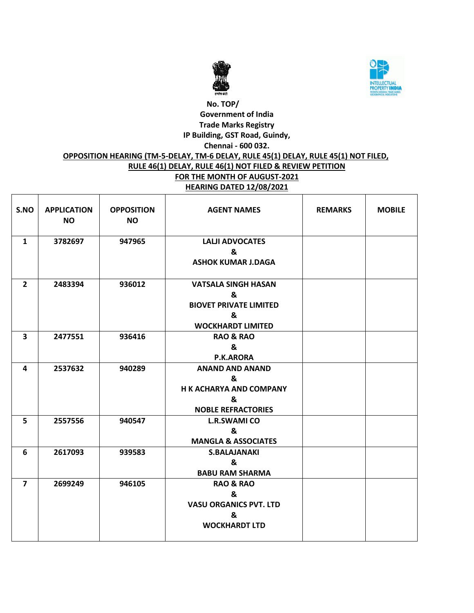



# **No. TOP/ Government of India Trade Marks Registry IP Building, GST Road, Guindy, Chennai - 600 032. OPPOSITION HEARING (TM-5-DELAY, TM-6 DELAY, RULE 45(1) DELAY, RULE 45(1) NOT FILED, RULE 46(1) DELAY, RULE 46(1) NOT FILED & REVIEW PETITION FOR THE MONTH OF AUGUST-2021 HEARING DATED 12/08/2021**

| S.NO           | <b>APPLICATION</b><br><b>NO</b> | <b>OPPOSITION</b><br><b>NO</b> | <b>AGENT NAMES</b>                                                                                | <b>REMARKS</b> | <b>MOBILE</b> |
|----------------|---------------------------------|--------------------------------|---------------------------------------------------------------------------------------------------|----------------|---------------|
| $\mathbf{1}$   | 3782697                         | 947965                         | <b>LALJI ADVOCATES</b><br>&<br><b>ASHOK KUMAR J.DAGA</b>                                          |                |               |
| $\overline{2}$ | 2483394                         | 936012                         | <b>VATSALA SINGH HASAN</b><br>ጼ<br><b>BIOVET PRIVATE LIMITED</b><br>&<br><b>WOCKHARDT LIMITED</b> |                |               |
| 3              | 2477551                         | 936416                         | <b>RAO &amp; RAO</b><br>&<br><b>P.K.ARORA</b>                                                     |                |               |
| 4              | 2537632                         | 940289                         | <b>ANAND AND ANAND</b><br>&<br><b>H K ACHARYA AND COMPANY</b><br>&<br><b>NOBLE REFRACTORIES</b>   |                |               |
| 5              | 2557556                         | 940547                         | <b>L.R.SWAMI CO</b><br>&<br><b>MANGLA &amp; ASSOCIATES</b>                                        |                |               |
| 6              | 2617093                         | 939583                         | <b>S.BALAJANAKI</b><br>&<br><b>BABU RAM SHARMA</b>                                                |                |               |
| $\overline{7}$ | 2699249                         | 946105                         | <b>RAO &amp; RAO</b><br>&<br><b>VASU ORGANICS PVT. LTD</b><br>&<br><b>WOCKHARDT LTD</b>           |                |               |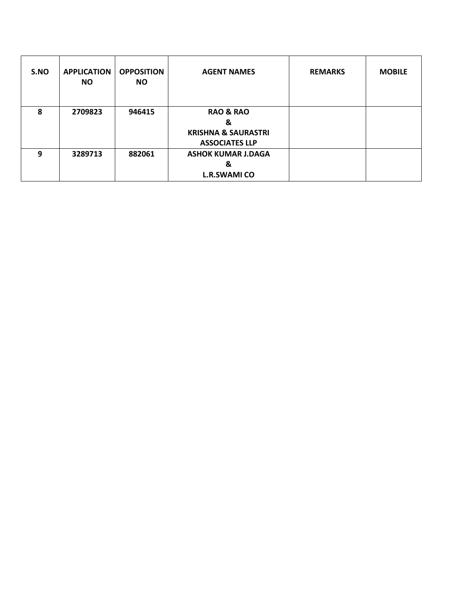| S.NO | <b>APPLICATION</b><br><b>NO</b> | <b>OPPOSITION</b><br><b>NO</b> | <b>AGENT NAMES</b>                                                                   | <b>REMARKS</b> | <b>MOBILE</b> |
|------|---------------------------------|--------------------------------|--------------------------------------------------------------------------------------|----------------|---------------|
| 8    | 2709823                         | 946415                         | <b>RAO &amp; RAO</b><br>&<br><b>KRISHNA &amp; SAURASTRI</b><br><b>ASSOCIATES LLP</b> |                |               |
| 9    | 3289713                         | 882061                         | <b>ASHOK KUMAR J.DAGA</b><br>&<br><b>L.R.SWAMI CO</b>                                |                |               |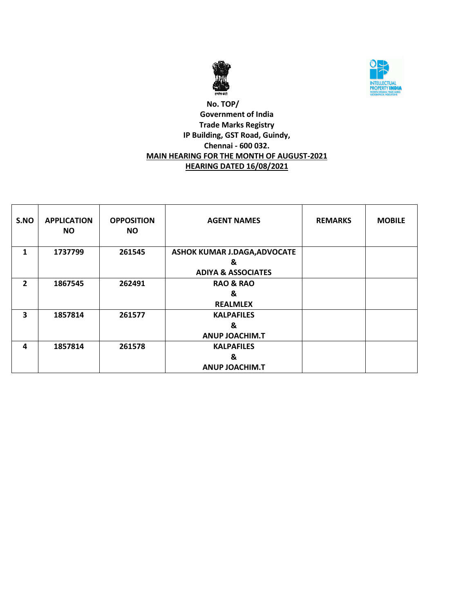



## **No. TOP/ Government of India Trade Marks Registry IP Building, GST Road, Guindy, Chennai - 600 032. MAIN HEARING FOR THE MONTH OF AUGUST-2021 HEARING DATED 16/08/2021**

| S.NO           | <b>APPLICATION</b><br>NO. | <b>OPPOSITION</b><br><b>NO</b> | <b>AGENT NAMES</b>                                                        | <b>REMARKS</b> | <b>MOBILE</b> |
|----------------|---------------------------|--------------------------------|---------------------------------------------------------------------------|----------------|---------------|
| 1              | 1737799                   | 261545                         | <b>ASHOK KUMAR J.DAGA, ADVOCATE</b><br>&<br><b>ADIYA &amp; ASSOCIATES</b> |                |               |
| $\overline{2}$ | 1867545                   | 262491                         | <b>RAO &amp; RAO</b><br>&<br><b>REALMLEX</b>                              |                |               |
| 3              | 1857814                   | 261577                         | <b>KALPAFILES</b><br>&<br><b>ANUP JOACHIM.T</b>                           |                |               |
| 4              | 1857814                   | 261578                         | <b>KALPAFILES</b><br>&<br><b>ANUP JOACHIM.T</b>                           |                |               |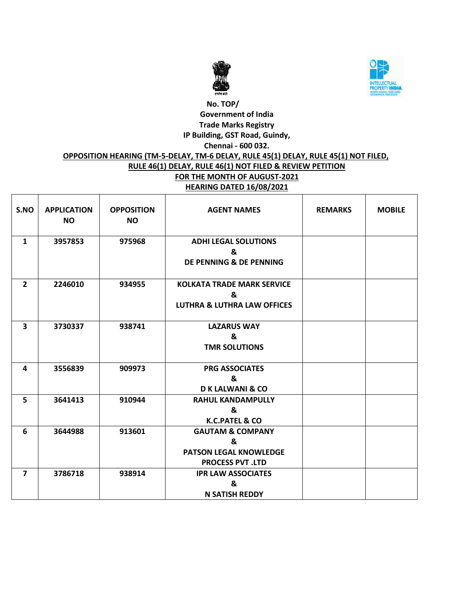



# **No. TOP/ Government of India Trade Marks Registry IP Building, GST Road, Guindy, Chennai - 600 032. OPPOSITION HEARING (TM-5-DELAY, TM-6 DELAY, RULE 45(1) DELAY, RULE 45(1) NOT FILED, RULE 46(1) DELAY, RULE 46(1) NOT FILED & REVIEW PETITION FOR THE MONTH OF AUGUST-2021 HEARING DATED 16/08/2021**

| S.NO                    | <b>APPLICATION</b><br><b>NO</b> | <b>OPPOSITION</b><br><b>NO</b> | <b>AGENT NAMES</b>                                                                           | <b>REMARKS</b> | <b>MOBILE</b> |
|-------------------------|---------------------------------|--------------------------------|----------------------------------------------------------------------------------------------|----------------|---------------|
| $\mathbf{1}$            | 3957853                         | 975968                         | <b>ADHI LEGAL SOLUTIONS</b><br>&<br><b>DE PENNING &amp; DE PENNING</b>                       |                |               |
| $\overline{2}$          | 2246010                         | 934955                         | <b>KOLKATA TRADE MARK SERVICE</b><br>&<br><b>LUTHRA &amp; LUTHRA LAW OFFICES</b>             |                |               |
| $\overline{\mathbf{3}}$ | 3730337                         | 938741                         | <b>LAZARUS WAY</b><br>&<br><b>TMR SOLUTIONS</b>                                              |                |               |
| 4                       | 3556839                         | 909973                         | <b>PRG ASSOCIATES</b><br>&<br><b>D K LALWANI &amp; CO</b>                                    |                |               |
| 5                       | 3641413                         | 910944                         | <b>RAHUL KANDAMPULLY</b><br>&<br><b>K.C.PATEL &amp; CO</b>                                   |                |               |
| 6                       | 3644988                         | 913601                         | <b>GAUTAM &amp; COMPANY</b><br>&<br><b>PATSON LEGAL KNOWLEDGE</b><br><b>PROCESS PVT .LTD</b> |                |               |
| $\overline{\mathbf{z}}$ | 3786718                         | 938914                         | <b>IPR LAW ASSOCIATES</b><br>&<br><b>N SATISH REDDY</b>                                      |                |               |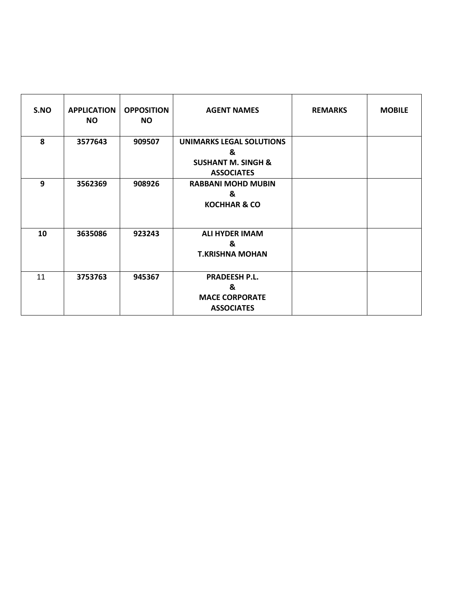| S.NO | <b>APPLICATION</b><br><b>NO</b> | <b>OPPOSITION</b><br><b>NO</b> | <b>AGENT NAMES</b>                                                                         | <b>REMARKS</b> | <b>MOBILE</b> |
|------|---------------------------------|--------------------------------|--------------------------------------------------------------------------------------------|----------------|---------------|
| 8    | 3577643                         | 909507                         | <b>UNIMARKS LEGAL SOLUTIONS</b><br>&<br><b>SUSHANT M. SINGH &amp;</b><br><b>ASSOCIATES</b> |                |               |
| 9    | 3562369                         | 908926                         | <b>RABBANI MOHD MUBIN</b><br>&<br><b>KOCHHAR &amp; CO</b>                                  |                |               |
| 10   | 3635086                         | 923243                         | <b>ALI HYDER IMAM</b><br>&<br><b>T.KRISHNA MOHAN</b>                                       |                |               |
| 11   | 3753763                         | 945367                         | <b>PRADEESH P.L.</b><br>&<br><b>MACE CORPORATE</b><br><b>ASSOCIATES</b>                    |                |               |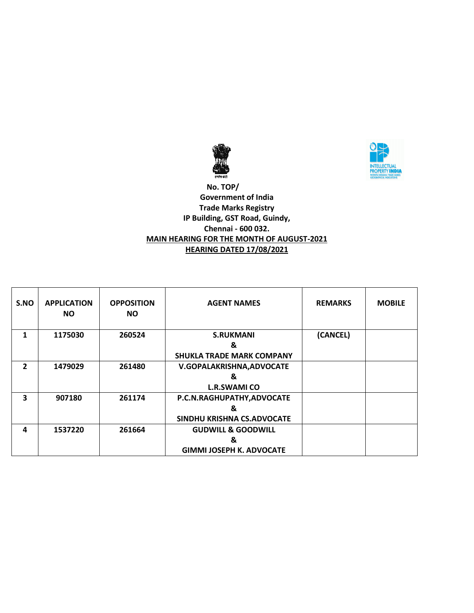



 **No. TOP/ Government of India Trade Marks Registry IP Building, GST Road, Guindy, Chennai - 600 032. MAIN HEARING FOR THE MONTH OF AUGUST-2021 HEARING DATED 17/08/2021**

| S.NO           | <b>APPLICATION</b><br><b>NO</b> | <b>OPPOSITION</b><br><b>NO</b> | <b>AGENT NAMES</b>               | <b>REMARKS</b> | <b>MOBILE</b> |
|----------------|---------------------------------|--------------------------------|----------------------------------|----------------|---------------|
| 1              | 1175030                         | 260524                         | <b>S.RUKMANI</b>                 | (CANCEL)       |               |
|                |                                 |                                | &                                |                |               |
|                |                                 |                                | <b>SHUKLA TRADE MARK COMPANY</b> |                |               |
| $\overline{2}$ | 1479029                         | 261480                         | V.GOPALAKRISHNA, ADVOCATE        |                |               |
|                |                                 |                                | &                                |                |               |
|                |                                 |                                | <b>L.R.SWAMI CO</b>              |                |               |
| 3              | 907180                          | 261174                         | P.C.N.RAGHUPATHY, ADVOCATE       |                |               |
|                |                                 |                                | &                                |                |               |
|                |                                 |                                | SINDHU KRISHNA CS.ADVOCATE       |                |               |
| 4              | 1537220                         | 261664                         | <b>GUDWILL &amp; GOODWILL</b>    |                |               |
|                |                                 |                                | &                                |                |               |
|                |                                 |                                | <b>GIMMI JOSEPH K. ADVOCATE</b>  |                |               |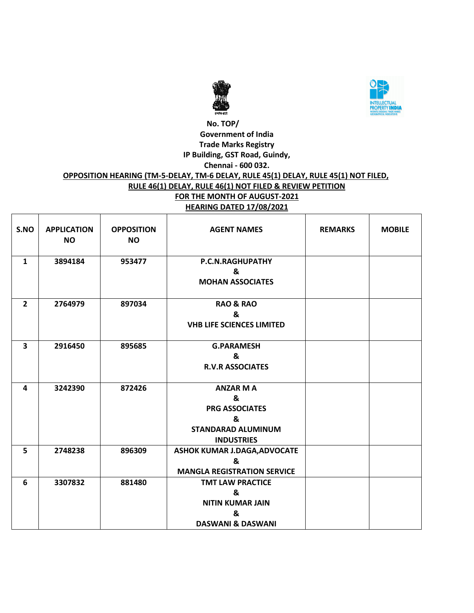



#### **No. TOP/ Government of India Trade Marks Registry IP Building, GST Road, Guindy, Chennai - 600 032. OPPOSITION HEARING (TM-5-DELAY, TM-6 DELAY, RULE 45(1) DELAY, RULE 45(1) NOT FILED, RULE 46(1) DELAY, RULE 46(1) NOT FILED & REVIEW PETITION FOR THE MONTH OF AUGUST-2021 HEARING DATED 17/08/2021**

| S.NO           | <b>APPLICATION</b><br><b>NO</b> | <b>OPPOSITION</b><br><b>NO</b> | <b>AGENT NAMES</b>                                                                                    | <b>REMARKS</b> | <b>MOBILE</b> |
|----------------|---------------------------------|--------------------------------|-------------------------------------------------------------------------------------------------------|----------------|---------------|
| $\mathbf{1}$   | 3894184                         | 953477                         | P.C.N.RAGHUPATHY<br>&<br><b>MOHAN ASSOCIATES</b>                                                      |                |               |
| $\overline{2}$ | 2764979                         | 897034                         | <b>RAO &amp; RAO</b><br>&<br><b>VHB LIFE SCIENCES LIMITED</b>                                         |                |               |
| 3              | 2916450                         | 895685                         | <b>G.PARAMESH</b><br>&<br><b>R.V.R ASSOCIATES</b>                                                     |                |               |
| 4              | 3242390                         | 872426                         | <b>ANZAR M A</b><br>&<br><b>PRG ASSOCIATES</b><br>&<br><b>STANDARAD ALUMINUM</b><br><b>INDUSTRIES</b> |                |               |
| 5              | 2748238                         | 896309                         | ASHOK KUMAR J.DAGA, ADVOCATE<br>&<br><b>MANGLA REGISTRATION SERVICE</b>                               |                |               |
| 6              | 3307832                         | 881480                         | <b>TMT LAW PRACTICE</b><br>&<br><b>NITIN KUMAR JAIN</b><br>&<br><b>DASWANI &amp; DASWANI</b>          |                |               |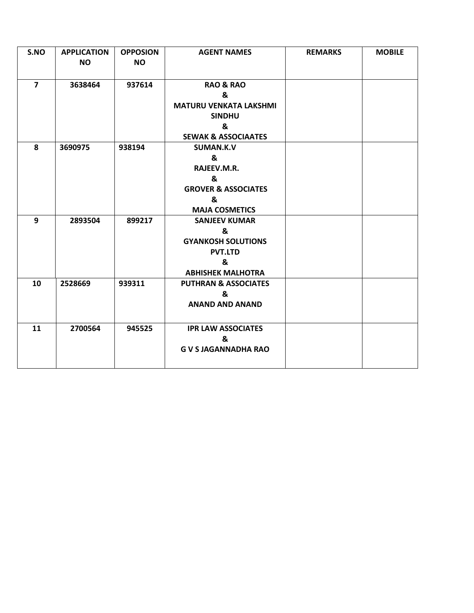| S.NO           | <b>APPLICATION</b> | <b>OPPOSION</b> | <b>AGENT NAMES</b>              | <b>REMARKS</b> | <b>MOBILE</b> |
|----------------|--------------------|-----------------|---------------------------------|----------------|---------------|
|                | <b>NO</b>          | <b>NO</b>       |                                 |                |               |
|                |                    |                 |                                 |                |               |
| $\overline{7}$ | 3638464            | 937614          | <b>RAO &amp; RAO</b>            |                |               |
|                |                    |                 | &                               |                |               |
|                |                    |                 | <b>MATURU VENKATA LAKSHMI</b>   |                |               |
|                |                    |                 | <b>SINDHU</b>                   |                |               |
|                |                    |                 | &                               |                |               |
|                |                    |                 | <b>SEWAK &amp; ASSOCIAATES</b>  |                |               |
| 8              | 3690975            | 938194          | SUMAN.K.V                       |                |               |
|                |                    |                 | &                               |                |               |
|                |                    |                 | RAJEEV.M.R.                     |                |               |
|                |                    |                 | &                               |                |               |
|                |                    |                 | <b>GROVER &amp; ASSOCIATES</b>  |                |               |
|                |                    |                 | &                               |                |               |
|                |                    |                 | <b>MAJA COSMETICS</b>           |                |               |
| 9              | 2893504            | 899217          | <b>SANJEEV KUMAR</b>            |                |               |
|                |                    |                 | &                               |                |               |
|                |                    |                 | <b>GYANKOSH SOLUTIONS</b>       |                |               |
|                |                    |                 | <b>PVT.LTD</b>                  |                |               |
|                |                    |                 | &                               |                |               |
|                |                    |                 | <b>ABHISHEK MALHOTRA</b>        |                |               |
| 10             | 2528669            | 939311          | <b>PUTHRAN &amp; ASSOCIATES</b> |                |               |
|                |                    |                 | &                               |                |               |
|                |                    |                 | <b>ANAND AND ANAND</b>          |                |               |
|                |                    |                 |                                 |                |               |
| 11             | 2700564            | 945525          | <b>IPR LAW ASSOCIATES</b>       |                |               |
|                |                    |                 | &                               |                |               |
|                |                    |                 | <b>G V S JAGANNADHA RAO</b>     |                |               |
|                |                    |                 |                                 |                |               |
|                |                    |                 |                                 |                |               |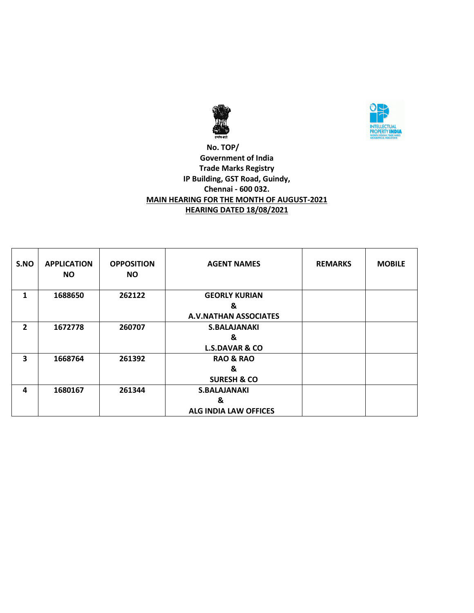



## **No. TOP/ Government of India Trade Marks Registry IP Building, GST Road, Guindy, Chennai - 600 032. MAIN HEARING FOR THE MONTH OF AUGUST-2021 HEARING DATED 18/08/2021**

| S.NO                    | <b>APPLICATION</b><br><b>NO</b> | <b>OPPOSITION</b><br><b>NO</b> | <b>AGENT NAMES</b>                                        | <b>REMARKS</b> | <b>MOBILE</b> |
|-------------------------|---------------------------------|--------------------------------|-----------------------------------------------------------|----------------|---------------|
| 1                       | 1688650                         | 262122                         | <b>GEORLY KURIAN</b><br>&<br><b>A.V.NATHAN ASSOCIATES</b> |                |               |
| $\overline{2}$          | 1672778                         | 260707                         | <b>S.BALAJANAKI</b><br>&<br><b>L.S.DAVAR &amp; CO</b>     |                |               |
| $\overline{\mathbf{3}}$ | 1668764                         | 261392                         | <b>RAO &amp; RAO</b><br>&<br><b>SURESH &amp; CO</b>       |                |               |
| 4                       | 1680167                         | 261344                         | <b>S.BALAJANAKI</b><br>&<br><b>ALG INDIA LAW OFFICES</b>  |                |               |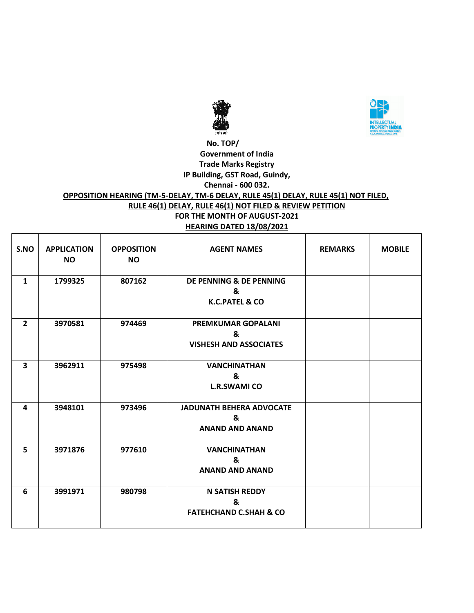



## **No. TOP/ Government of India Trade Marks Registry IP Building, GST Road, Guindy, Chennai - 600 032.**

#### **OPPOSITION HEARING (TM-5-DELAY, TM-6 DELAY, RULE 45(1) DELAY, RULE 45(1) NOT FILED, RULE 46(1) DELAY, RULE 46(1) NOT FILED & REVIEW PETITION FOR THE MONTH OF AUGUST-2021**

| <b>HEARING DATED 18/08/2021</b> |  |  |
|---------------------------------|--|--|
|                                 |  |  |

| S.NO           | <b>APPLICATION</b><br><b>NO</b> | <b>OPPOSITION</b><br><b>NO</b> | <b>AGENT NAMES</b>                                              | <b>REMARKS</b> | <b>MOBILE</b> |
|----------------|---------------------------------|--------------------------------|-----------------------------------------------------------------|----------------|---------------|
| $\mathbf{1}$   | 1799325                         | 807162                         | DE PENNING & DE PENNING<br>&<br><b>K.C.PATEL &amp; CO</b>       |                |               |
| $\overline{2}$ | 3970581                         | 974469                         | <b>PREMKUMAR GOPALANI</b><br>&<br><b>VISHESH AND ASSOCIATES</b> |                |               |
| 3              | 3962911                         | 975498                         | <b>VANCHINATHAN</b><br>&<br><b>L.R.SWAMI CO</b>                 |                |               |
| 4              | 3948101                         | 973496                         | <b>JADUNATH BEHERA ADVOCATE</b><br>&<br><b>ANAND AND ANAND</b>  |                |               |
| 5              | 3971876                         | 977610                         | <b>VANCHINATHAN</b><br>&<br><b>ANAND AND ANAND</b>              |                |               |
| 6              | 3991971                         | 980798                         | <b>N SATISH REDDY</b><br>&<br><b>FATEHCHAND C.SHAH &amp; CO</b> |                |               |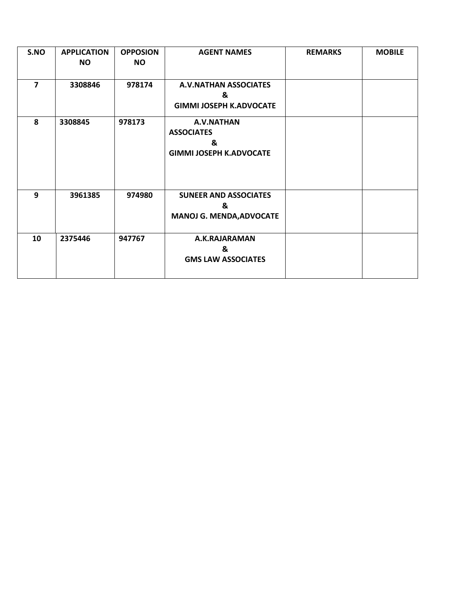| S.NO           | <b>APPLICATION</b> | <b>OPPOSION</b> | <b>AGENT NAMES</b>                                                     | <b>REMARKS</b> | <b>MOBILE</b> |
|----------------|--------------------|-----------------|------------------------------------------------------------------------|----------------|---------------|
|                | <b>NO</b>          | <b>NO</b>       |                                                                        |                |               |
| $\overline{7}$ | 3308846            | 978174          | <b>A.V.NATHAN ASSOCIATES</b><br>&<br><b>GIMMI JOSEPH K.ADVOCATE</b>    |                |               |
| 8              | 3308845            | 978173          | A.V.NATHAN<br><b>ASSOCIATES</b><br>&<br><b>GIMMI JOSEPH K.ADVOCATE</b> |                |               |
| 9              | 3961385            | 974980          | <b>SUNEER AND ASSOCIATES</b><br>&<br><b>MANOJ G. MENDA, ADVOCATE</b>   |                |               |
| 10             | 2375446            | 947767          | A.K.RAJARAMAN<br>&<br><b>GMS LAW ASSOCIATES</b>                        |                |               |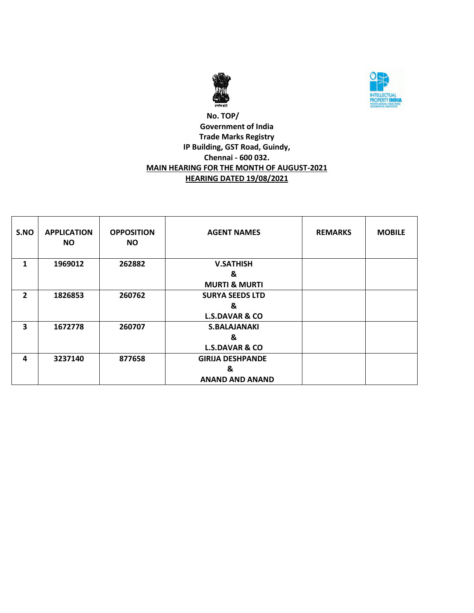



## **No. TOP/ Government of India Trade Marks Registry IP Building, GST Road, Guindy, Chennai - 600 032. MAIN HEARING FOR THE MONTH OF AUGUST-2021 HEARING DATED 19/08/2021**

| S.NO           | <b>APPLICATION</b><br><b>NO</b> | <b>OPPOSITION</b><br><b>NO</b> | <b>AGENT NAMES</b>        | <b>REMARKS</b> | <b>MOBILE</b> |
|----------------|---------------------------------|--------------------------------|---------------------------|----------------|---------------|
| 1              | 1969012                         | 262882                         | <b>V.SATHISH</b>          |                |               |
|                |                                 |                                | &                         |                |               |
|                |                                 |                                | <b>MURTI &amp; MURTI</b>  |                |               |
| $\overline{2}$ | 1826853                         | 260762                         | <b>SURYA SEEDS LTD</b>    |                |               |
|                |                                 |                                | &                         |                |               |
|                |                                 |                                | <b>L.S.DAVAR &amp; CO</b> |                |               |
| 3              | 1672778                         | 260707                         | <b>S.BALAJANAKI</b>       |                |               |
|                |                                 |                                | &                         |                |               |
|                |                                 |                                | <b>L.S.DAVAR &amp; CO</b> |                |               |
| 4              | 3237140                         | 877658                         | <b>GIRIJA DESHPANDE</b>   |                |               |
|                |                                 |                                | &                         |                |               |
|                |                                 |                                | <b>ANAND AND ANAND</b>    |                |               |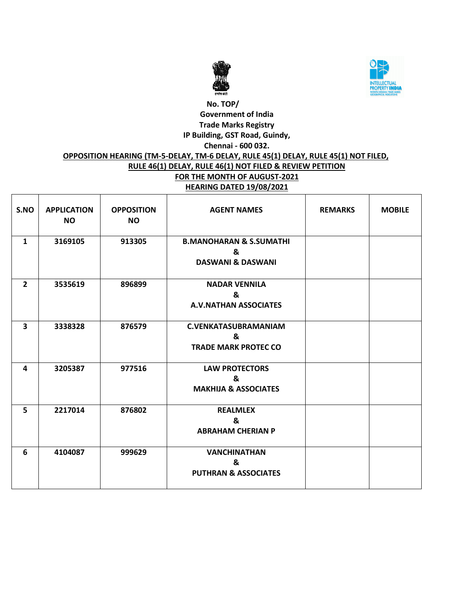



# **No. TOP/ Government of India Trade Marks Registry IP Building, GST Road, Guindy, Chennai - 600 032. OPPOSITION HEARING (TM-5-DELAY, TM-6 DELAY, RULE 45(1) DELAY, RULE 45(1) NOT FILED, RULE 46(1) DELAY, RULE 46(1) NOT FILED & REVIEW PETITION FOR THE MONTH OF AUGUST-2021 HEARING DATED 19/08/2021**

| S.NO                    | <b>APPLICATION</b><br><b>NO</b> | <b>OPPOSITION</b><br><b>NO</b> | <b>AGENT NAMES</b>                                                      | <b>REMARKS</b> | <b>MOBILE</b> |
|-------------------------|---------------------------------|--------------------------------|-------------------------------------------------------------------------|----------------|---------------|
| $\mathbf{1}$            | 3169105                         | 913305                         | <b>B.MANOHARAN &amp; S.SUMATHI</b><br>&<br><b>DASWANI &amp; DASWANI</b> |                |               |
| $\overline{2}$          | 3535619                         | 896899                         | <b>NADAR VENNILA</b><br>&<br><b>A.V.NATHAN ASSOCIATES</b>               |                |               |
| $\overline{\mathbf{3}}$ | 3338328                         | 876579                         | <b>C.VENKATASUBRAMANIAM</b><br>&<br><b>TRADE MARK PROTEC CO</b>         |                |               |
| 4                       | 3205387                         | 977516                         | <b>LAW PROTECTORS</b><br>&<br><b>MAKHIJA &amp; ASSOCIATES</b>           |                |               |
| 5                       | 2217014                         | 876802                         | <b>REALMLEX</b><br>&<br><b>ABRAHAM CHERIAN P</b>                        |                |               |
| 6                       | 4104087                         | 999629                         | <b>VANCHINATHAN</b><br>&<br><b>PUTHRAN &amp; ASSOCIATES</b>             |                |               |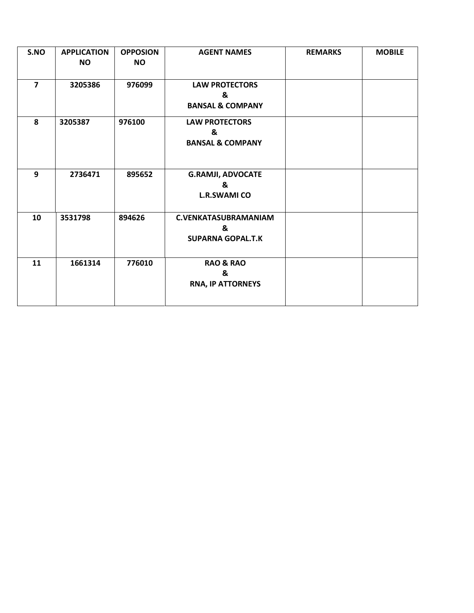| S.NO           | <b>APPLICATION</b><br><b>NO</b> | <b>OPPOSION</b><br><b>NO</b> | <b>AGENT NAMES</b>                                           | <b>REMARKS</b> | <b>MOBILE</b> |
|----------------|---------------------------------|------------------------------|--------------------------------------------------------------|----------------|---------------|
| $\overline{7}$ | 3205386                         | 976099                       | <b>LAW PROTECTORS</b><br>&<br><b>BANSAL &amp; COMPANY</b>    |                |               |
| 8              | 3205387                         | 976100                       | <b>LAW PROTECTORS</b><br>&<br><b>BANSAL &amp; COMPANY</b>    |                |               |
| 9              | 2736471                         | 895652                       | <b>G.RAMJI, ADVOCATE</b><br>&<br><b>L.R.SWAMI CO</b>         |                |               |
| 10             | 3531798                         | 894626                       | <b>C.VENKATASUBRAMANIAM</b><br>&<br><b>SUPARNA GOPAL.T.K</b> |                |               |
| 11             | 1661314                         | 776010                       | <b>RAO &amp; RAO</b><br>&<br>RNA, IP ATTORNEYS               |                |               |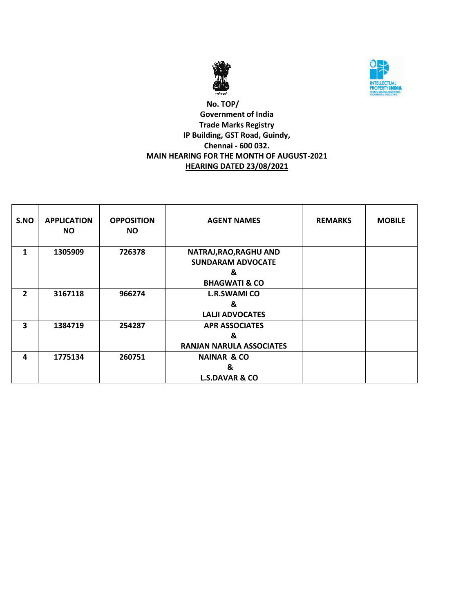



## **No. TOP/ Government of India Trade Marks Registry IP Building, GST Road, Guindy, Chennai - 600 032. MAIN HEARING FOR THE MONTH OF AUGUST-2021 HEARING DATED 23/08/2021**

| S.NO                    | <b>APPLICATION</b><br><b>NO</b> | <b>OPPOSITION</b><br>NO. | <b>AGENT NAMES</b>                                 | <b>REMARKS</b> | <b>MOBILE</b> |
|-------------------------|---------------------------------|--------------------------|----------------------------------------------------|----------------|---------------|
| 1                       | 1305909                         | 726378                   | NATRAJ, RAO, RAGHU AND<br><b>SUNDARAM ADVOCATE</b> |                |               |
|                         |                                 |                          | &                                                  |                |               |
|                         |                                 |                          | <b>BHAGWATI &amp; CO</b>                           |                |               |
| $\mathbf{2}$            | 3167118                         | 966274                   | <b>L.R.SWAMI CO</b>                                |                |               |
|                         |                                 |                          | &                                                  |                |               |
|                         |                                 |                          | <b>LALJI ADVOCATES</b>                             |                |               |
| $\overline{\mathbf{3}}$ | 1384719                         | 254287                   | <b>APR ASSOCIATES</b>                              |                |               |
|                         |                                 |                          | &                                                  |                |               |
|                         |                                 |                          | <b>RANJAN NARULA ASSOCIATES</b>                    |                |               |
| 4                       | 1775134                         | 260751                   | <b>NAINAR &amp; CO</b>                             |                |               |
|                         |                                 |                          | &                                                  |                |               |
|                         |                                 |                          | <b>L.S.DAVAR &amp; CO</b>                          |                |               |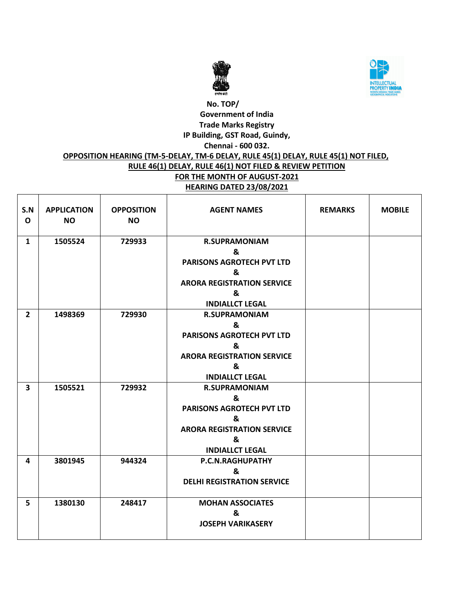



#### **No. TOP/ Government of India Trade Marks Registry IP Building, GST Road, Guindy, Chennai - 600 032. OPPOSITION HEARING (TM-5-DELAY, TM-6 DELAY, RULE 45(1) DELAY, RULE 45(1) NOT FILED, RULE 46(1) DELAY, RULE 46(1) NOT FILED & REVIEW PETITION FOR THE MONTH OF AUGUST-2021 HEARING DATED 23/08/2021** Ш

| S.N<br>$\mathbf{o}$     | <b>APPLICATION</b><br><b>NO</b> | <b>OPPOSITION</b><br><b>NO</b> | <b>AGENT NAMES</b>                                                                                                                     | <b>REMARKS</b> | <b>MOBILE</b> |
|-------------------------|---------------------------------|--------------------------------|----------------------------------------------------------------------------------------------------------------------------------------|----------------|---------------|
| $\mathbf{1}$            | 1505524                         | 729933                         | <b>R.SUPRAMONIAM</b><br>&<br><b>PARISONS AGROTECH PVT LTD</b><br>&<br><b>ARORA REGISTRATION SERVICE</b><br>&<br><b>INDIALLCT LEGAL</b> |                |               |
| $\overline{2}$          | 1498369                         | 729930                         | <b>R.SUPRAMONIAM</b><br>&<br><b>PARISONS AGROTECH PVT LTD</b><br>&<br><b>ARORA REGISTRATION SERVICE</b><br>&<br><b>INDIALLCT LEGAL</b> |                |               |
| $\overline{\mathbf{3}}$ | 1505521                         | 729932                         | <b>R.SUPRAMONIAM</b><br>&<br><b>PARISONS AGROTECH PVT LTD</b><br>&<br><b>ARORA REGISTRATION SERVICE</b><br>&<br><b>INDIALLCT LEGAL</b> |                |               |
| 4                       | 3801945                         | 944324                         | P.C.N.RAGHUPATHY<br>&<br><b>DELHI REGISTRATION SERVICE</b>                                                                             |                |               |
| 5                       | 1380130                         | 248417                         | <b>MOHAN ASSOCIATES</b><br>&<br><b>JOSEPH VARIKASERY</b>                                                                               |                |               |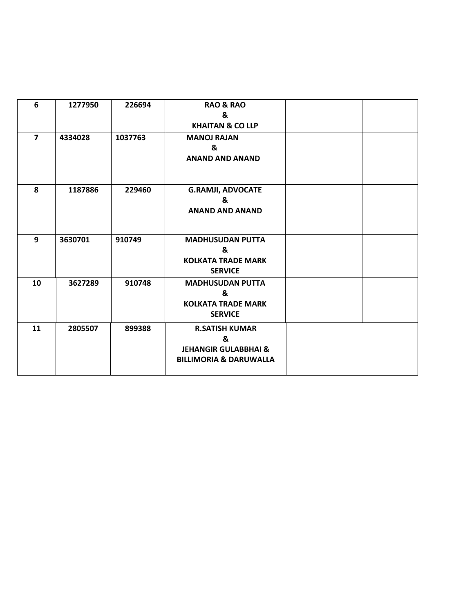| 6              | 1277950 | 226694  | <b>RAO &amp; RAO</b><br>&<br><b>KHAITAN &amp; CO LLP</b>                                           |  |
|----------------|---------|---------|----------------------------------------------------------------------------------------------------|--|
| $\overline{7}$ | 4334028 | 1037763 | <b>MANOJ RAJAN</b><br>&<br><b>ANAND AND ANAND</b>                                                  |  |
| 8              | 1187886 | 229460  | <b>G.RAMJI, ADVOCATE</b><br>&<br><b>ANAND AND ANAND</b>                                            |  |
| 9              | 3630701 | 910749  | <b>MADHUSUDAN PUTTA</b><br>&<br><b>KOLKATA TRADE MARK</b><br><b>SERVICE</b>                        |  |
| 10             | 3627289 | 910748  | <b>MADHUSUDAN PUTTA</b><br>&<br><b>KOLKATA TRADE MARK</b><br><b>SERVICE</b>                        |  |
| 11             | 2805507 | 899388  | <b>R.SATISH KUMAR</b><br>&<br><b>JEHANGIR GULABBHAI &amp;</b><br><b>BILLIMORIA &amp; DARUWALLA</b> |  |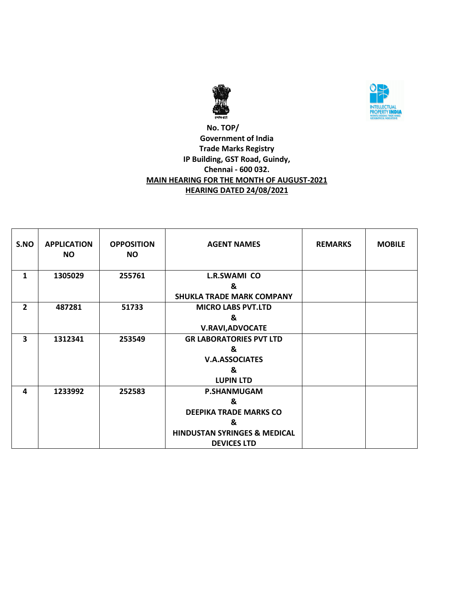



## **No. TOP/ Government of India Trade Marks Registry IP Building, GST Road, Guindy, Chennai - 600 032. MAIN HEARING FOR THE MONTH OF AUGUST-2021 HEARING DATED 24/08/2021**

| S.NO           | <b>APPLICATION</b><br><b>NO</b> | <b>OPPOSITION</b><br><b>NO</b> | <b>AGENT NAMES</b>                      | <b>REMARKS</b> | <b>MOBILE</b> |
|----------------|---------------------------------|--------------------------------|-----------------------------------------|----------------|---------------|
| 1              | 1305029                         | 255761                         | L.R.SWAMI CO                            |                |               |
|                |                                 |                                | &                                       |                |               |
|                |                                 |                                | <b>SHUKLA TRADE MARK COMPANY</b>        |                |               |
| $\overline{2}$ | 487281                          | 51733                          | <b>MICRO LABS PVT.LTD</b>               |                |               |
|                |                                 |                                | &                                       |                |               |
|                |                                 |                                | <b>V.RAVI, ADVOCATE</b>                 |                |               |
| 3              | 1312341                         | 253549                         | <b>GR LABORATORIES PVT LTD</b>          |                |               |
|                |                                 |                                | &                                       |                |               |
|                |                                 |                                | <b>V.A.ASSOCIATES</b>                   |                |               |
|                |                                 |                                | &                                       |                |               |
|                |                                 |                                | <b>LUPIN LTD</b>                        |                |               |
| 4              | 1233992                         | 252583                         | <b>P.SHANMUGAM</b>                      |                |               |
|                |                                 |                                | &                                       |                |               |
|                |                                 |                                | <b>DEEPIKA TRADE MARKS CO</b>           |                |               |
|                |                                 |                                | &                                       |                |               |
|                |                                 |                                | <b>HINDUSTAN SYRINGES &amp; MEDICAL</b> |                |               |
|                |                                 |                                | <b>DEVICES LTD</b>                      |                |               |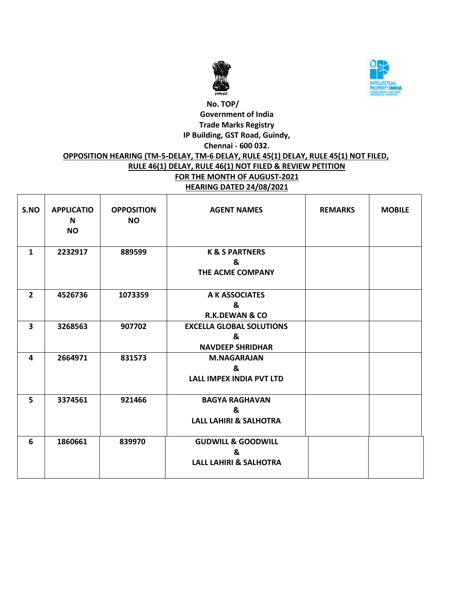



# **No. TOP/ Government of India Trade Marks Registry IP Building, GST Road, Guindy, Chennai - 600 032. OPPOSITION HEARING (TM-5-DELAY, TM-6 DELAY, RULE 45(1) DELAY, RULE 45(1) NOT FILED, RULE 46(1) DELAY, RULE 46(1) NOT FILED & REVIEW PETITION FOR THE MONTH OF AUGUST-2021 HEARING DATED 24/08/2021**

| S.NO           | <b>APPLICATIO</b><br>N<br><b>NO</b> | <b>OPPOSITION</b><br><b>NO</b> | <b>AGENT NAMES</b>                                                      | <b>REMARKS</b> | <b>MOBILE</b> |
|----------------|-------------------------------------|--------------------------------|-------------------------------------------------------------------------|----------------|---------------|
| $\mathbf{1}$   | 2232917                             | 889599                         | <b>K &amp; S PARTNERS</b><br>&<br>THE ACME COMPANY                      |                |               |
| $\overline{2}$ | 4526736                             | 1073359                        | A K ASSOCIATES<br>&<br><b>R.K.DEWAN &amp; CO</b>                        |                |               |
| 3              | 3268563                             | 907702                         | <b>EXCELLA GLOBAL SOLUTIONS</b><br>&<br><b>NAVDEEP SHRIDHAR</b>         |                |               |
| 4              | 2664971                             | 831573                         | <b>M.NAGARAJAN</b><br>&<br><b>LALL IMPEX INDIA PVT LTD</b>              |                |               |
| 5              | 3374561                             | 921466                         | <b>BAGYA RAGHAVAN</b><br>&<br><b>LALL LAHIRI &amp; SALHOTRA</b>         |                |               |
| 6              | 1860661                             | 839970                         | <b>GUDWILL &amp; GOODWILL</b><br>&<br><b>LALL LAHIRI &amp; SALHOTRA</b> |                |               |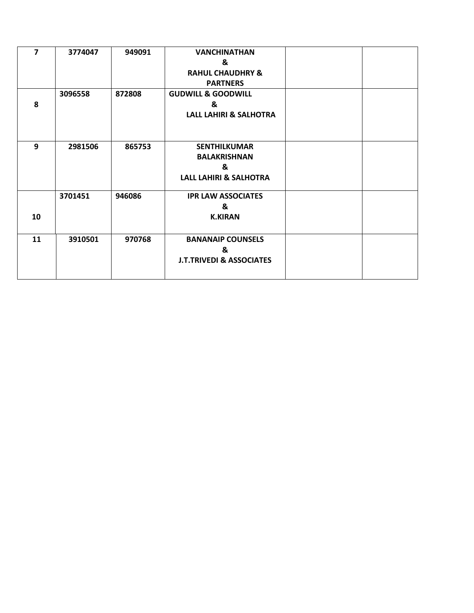| $\overline{7}$ | 3774047 | 949091 | <b>VANCHINATHAN</b>                 |  |
|----------------|---------|--------|-------------------------------------|--|
|                |         |        | &                                   |  |
|                |         |        | <b>RAHUL CHAUDHRY &amp;</b>         |  |
|                |         |        | <b>PARTNERS</b>                     |  |
|                | 3096558 | 872808 | <b>GUDWILL &amp; GOODWILL</b>       |  |
| 8              |         |        | &                                   |  |
|                |         |        | LALL LAHIRI & SALHOTRA              |  |
|                |         |        |                                     |  |
|                |         |        |                                     |  |
| 9              | 2981506 | 865753 | <b>SENTHILKUMAR</b>                 |  |
|                |         |        | <b>BALAKRISHNAN</b>                 |  |
|                |         |        | &                                   |  |
|                |         |        | <b>LALL LAHIRI &amp; SALHOTRA</b>   |  |
|                |         |        |                                     |  |
|                | 3701451 | 946086 | <b>IPR LAW ASSOCIATES</b>           |  |
|                |         |        | &                                   |  |
| 10             |         |        | <b>K.KIRAN</b>                      |  |
|                |         |        |                                     |  |
| 11             | 3910501 | 970768 | <b>BANANAIP COUNSELS</b>            |  |
|                |         |        | &                                   |  |
|                |         |        | <b>J.T.TRIVEDI &amp; ASSOCIATES</b> |  |
|                |         |        |                                     |  |
|                |         |        |                                     |  |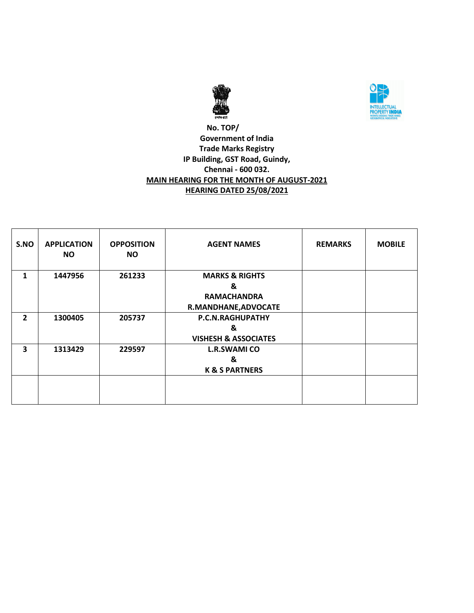



## **No. TOP/ Government of India Trade Marks Registry IP Building, GST Road, Guindy, Chennai - 600 032. MAIN HEARING FOR THE MONTH OF AUGUST-2021 HEARING DATED 25/08/2021**

| S.NO           | <b>APPLICATION</b><br><b>NO</b> | <b>OPPOSITION</b><br><b>NO</b> | <b>AGENT NAMES</b>                                                           | <b>REMARKS</b> | <b>MOBILE</b> |
|----------------|---------------------------------|--------------------------------|------------------------------------------------------------------------------|----------------|---------------|
| 1              | 1447956                         | 261233                         | <b>MARKS &amp; RIGHTS</b><br>&<br><b>RAMACHANDRA</b><br>R.MANDHANE, ADVOCATE |                |               |
| $\overline{2}$ | 1300405                         | 205737                         | P.C.N.RAGHUPATHY<br>&<br><b>VISHESH &amp; ASSOCIATES</b>                     |                |               |
| 3              | 1313429                         | 229597                         | <b>L.R.SWAMI CO</b><br>&<br><b>K &amp; S PARTNERS</b>                        |                |               |
|                |                                 |                                |                                                                              |                |               |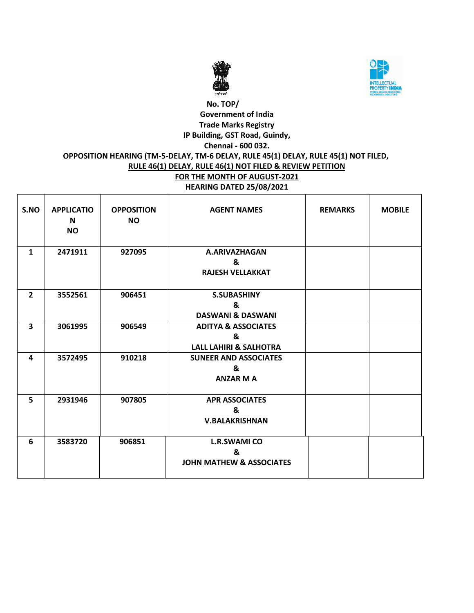



#### **No. TOP/ Government of India Trade Marks Registry IP Building, GST Road, Guindy, Chennai - 600 032. OPPOSITION HEARING (TM-5-DELAY, TM-6 DELAY, RULE 45(1) DELAY, RULE 45(1) NOT FILED, RULE 46(1) DELAY, RULE 46(1) NOT FILED & REVIEW PETITION FOR THE MONTH OF AUGUST-2021 HEARING DATED 25/08/2021** Ш

| S.NO                    | <b>APPLICATIO</b><br>N<br><b>NO</b> | <b>OPPOSITION</b><br><b>NO</b> | <b>AGENT NAMES</b>                                                       | <b>REMARKS</b> | <b>MOBILE</b> |
|-------------------------|-------------------------------------|--------------------------------|--------------------------------------------------------------------------|----------------|---------------|
| $\mathbf{1}$            | 2471911                             | 927095                         | A.ARIVAZHAGAN<br>&<br><b>RAJESH VELLAKKAT</b>                            |                |               |
| $\overline{2}$          | 3552561                             | 906451                         | <b>S.SUBASHINY</b><br>&<br><b>DASWANI &amp; DASWANI</b>                  |                |               |
| $\overline{\mathbf{3}}$ | 3061995                             | 906549                         | <b>ADITYA &amp; ASSOCIATES</b><br>&<br><b>LALL LAHIRI &amp; SALHOTRA</b> |                |               |
| 4                       | 3572495                             | 910218                         | <b>SUNEER AND ASSOCIATES</b><br>&<br><b>ANZAR M A</b>                    |                |               |
| 5                       | 2931946                             | 907805                         | <b>APR ASSOCIATES</b><br>&<br><b>V.BALAKRISHNAN</b>                      |                |               |
| 6                       | 3583720                             | 906851                         | <b>L.R.SWAMI CO</b><br>&<br><b>JOHN MATHEW &amp; ASSOCIATES</b>          |                |               |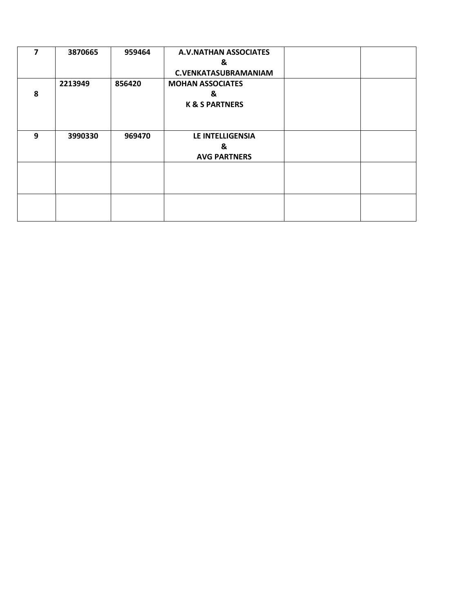| 7 | 3870665 | 959464 | <b>A.V.NATHAN ASSOCIATES</b><br>&<br><b>C.VENKATASUBRAMANIAM</b> |  |
|---|---------|--------|------------------------------------------------------------------|--|
| 8 | 2213949 | 856420 | <b>MOHAN ASSOCIATES</b><br>&<br><b>K &amp; S PARTNERS</b>        |  |
| 9 | 3990330 | 969470 | LE INTELLIGENSIA<br>&<br><b>AVG PARTNERS</b>                     |  |
|   |         |        |                                                                  |  |
|   |         |        |                                                                  |  |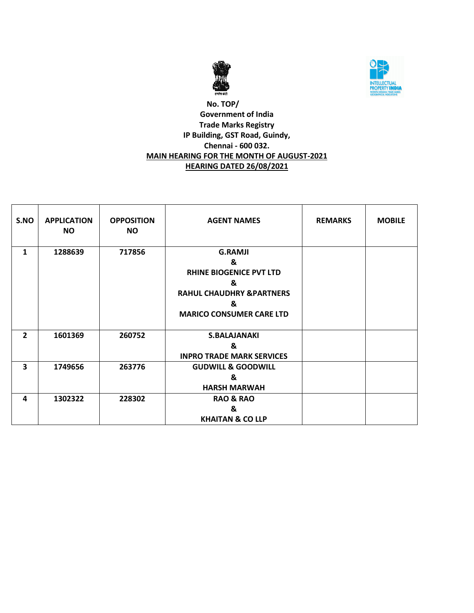



## **No. TOP/ Government of India Trade Marks Registry IP Building, GST Road, Guindy, Chennai - 600 032. MAIN HEARING FOR THE MONTH OF AUGUST-2021 HEARING DATED 26/08/2021**

| S.NO           | <b>APPLICATION</b><br><b>NO</b> | <b>OPPOSITION</b><br><b>NO</b> | <b>AGENT NAMES</b>                                                                                                                         | <b>REMARKS</b> | <b>MOBILE</b> |
|----------------|---------------------------------|--------------------------------|--------------------------------------------------------------------------------------------------------------------------------------------|----------------|---------------|
| $\mathbf{1}$   | 1288639                         | 717856                         | <b>G.RAMJI</b><br>&<br><b>RHINE BIOGENICE PVT LTD</b><br>&<br><b>RAHUL CHAUDHRY &amp; PARTNERS</b><br>&<br><b>MARICO CONSUMER CARE LTD</b> |                |               |
| $\overline{2}$ | 1601369                         | 260752                         | <b>S.BALAJANAKI</b><br>&<br><b>INPRO TRADE MARK SERVICES</b>                                                                               |                |               |
| 3              | 1749656                         | 263776                         | <b>GUDWILL &amp; GOODWILL</b><br>&<br><b>HARSH MARWAH</b>                                                                                  |                |               |
| 4              | 1302322                         | 228302                         | <b>RAO &amp; RAO</b><br>&<br><b>KHAITAN &amp; CO LLP</b>                                                                                   |                |               |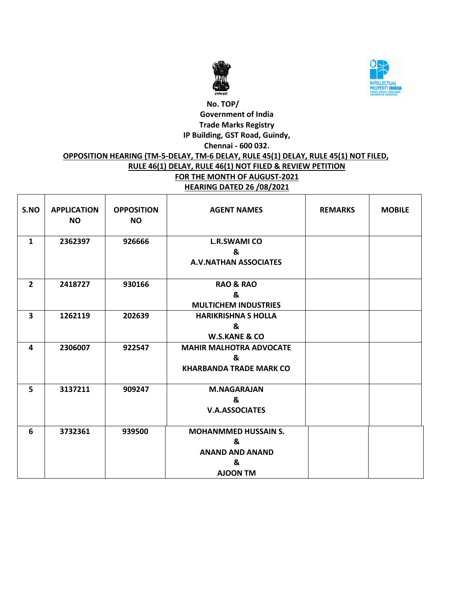



#### **No. TOP/ Government of India Trade Marks Registry IP Building, GST Road, Guindy, Chennai - 600 032. OPPOSITION HEARING (TM-5-DELAY, TM-6 DELAY, RULE 45(1) DELAY, RULE 45(1) NOT FILED, RULE 46(1) DELAY, RULE 46(1) NOT FILED & REVIEW PETITION FOR THE MONTH OF AUGUST-2021 HEARING DATED 26 /08/2021** Ш

| S.NO           | <b>APPLICATION</b><br><b>NO</b> | <b>OPPOSITION</b><br><b>NO</b> | <b>AGENT NAMES</b>                                                                 | <b>REMARKS</b> | <b>MOBILE</b> |
|----------------|---------------------------------|--------------------------------|------------------------------------------------------------------------------------|----------------|---------------|
| $\mathbf{1}$   | 2362397                         | 926666                         | <b>L.R.SWAMI CO</b><br>&<br><b>A.V.NATHAN ASSOCIATES</b>                           |                |               |
| $\overline{2}$ | 2418727                         | 930166                         | <b>RAO &amp; RAO</b><br>&<br><b>MULTICHEM INDUSTRIES</b>                           |                |               |
| 3              | 1262119                         | 202639                         | <b>HARIKRISHNA S HOLLA</b><br>&<br><b>W.S.KANE &amp; CO</b>                        |                |               |
| 4              | 2306007                         | 922547                         | <b>MAHIR MALHOTRA ADVOCATE</b><br>&<br><b>KHARBANDA TRADE MARK CO</b>              |                |               |
| 5              | 3137211                         | 909247                         | <b>M.NAGARAJAN</b><br>&<br><b>V.A.ASSOCIATES</b>                                   |                |               |
| 6              | 3732361                         | 939500                         | <b>MOHANMMED HUSSAIN S.</b><br>&<br><b>ANAND AND ANAND</b><br>&<br><b>AJOON TM</b> |                |               |